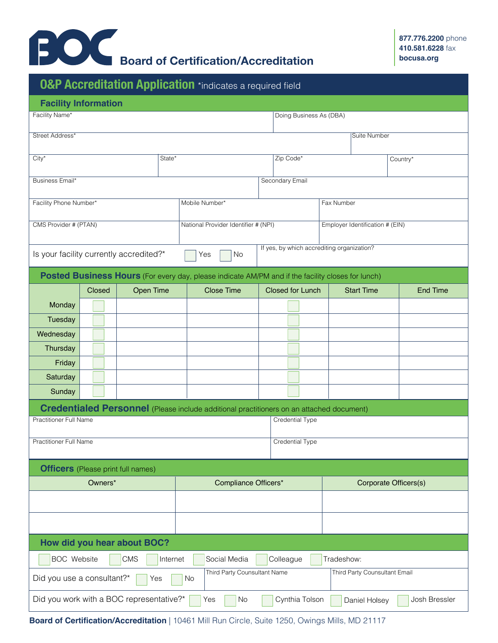

## **O&P Accreditation Application** \*indicates a required field **Facility Information Posted Business Hours** (For every day, please indicate AM/PM and if the facility closes for lunch) **Credentialed Personnel** (Please include additional practitioners on an attached document) Facility Name\* Doing Business As (DBA) Street Address\* Suite Number (Suite Number 1999) (Suite Number 1999) (Suite Number 1999) (Suite Number 1999) (Suite Number 1999) City\* State\* Zip Code\* Country\* Business Email\* Secondary Email Secondary Email Secondary Email Secondary Email Secondary Email Secondary Email Facility Phone Number\* Closed Open Time Close Time Closed for Lunch Start Time End Time **Monday Tuesday Wednesday Thursday** Friday **Saturday** Sunday Practitioner Full Name Credential Type Mobile Number\* Fax Number CMS Provider # (PTAN) Practitioner Full Name Credential Type National Provider Identifier # (NPI) Employer Identification # (EIN) If yes, by which accrediting organization? Is your facility currently accredited?\*  $\Box$  Yes  $\Box$  No **Officers** (Please print full names) Owners\* Compliance Officers\* Completerst Corporate Officers(s) **How did you hear about BOC?**  Third Party Counsultant Name Third Party Counsultant Email Did you use a consultant?\* Did you work with a BOC representative?\* Yes Yes BOC Website CMS | Internet | Social Media | Colleague | Tradeshow: No No Cynthia Tolson Daniel Holsey Josh Bressler

**Board of Certification/Accreditation** | 10461 Mill Run Circle, Suite 1250, Owings Mills, MD 21117